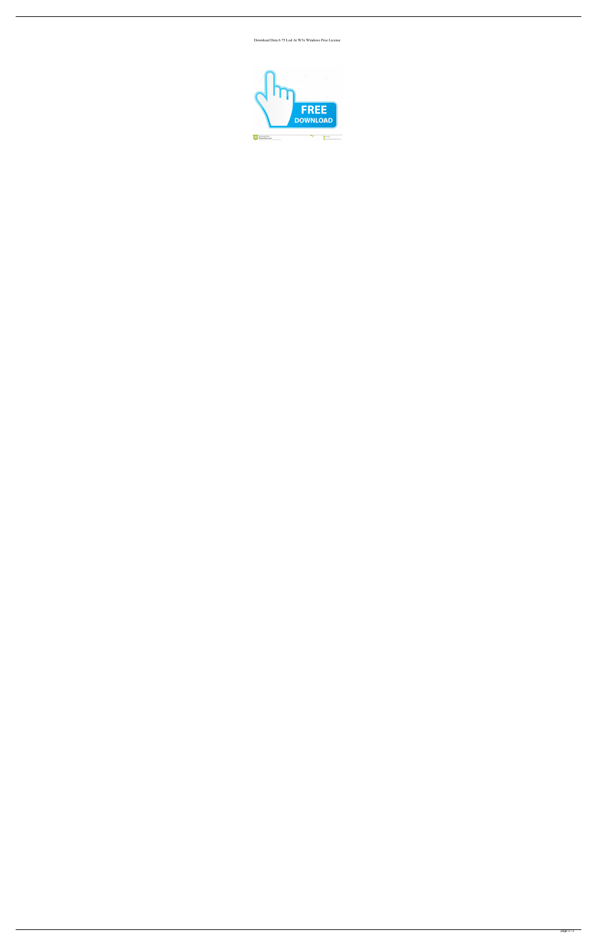## Download Dota 6 75 Lod Ai W3x Windows Free License